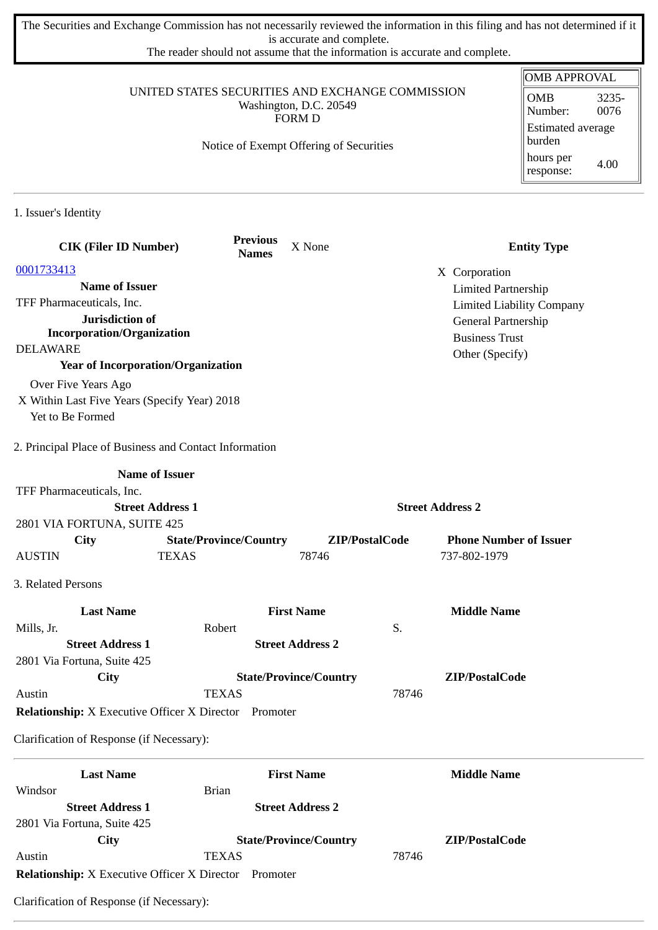The Securities and Exchange Commission has not necessarily reviewed the information in this filing and has not determined if it is accurate and complete.

The reader should not assume that the information is accurate and complete.

|                                                              |                                                  |                                         |                         | <b>OMB APPROVAL</b>              |
|--------------------------------------------------------------|--------------------------------------------------|-----------------------------------------|-------------------------|----------------------------------|
|                                                              | UNITED STATES SECURITIES AND EXCHANGE COMMISSION |                                         |                         | <b>OMB</b><br>3235-              |
|                                                              |                                                  | Washington, D.C. 20549<br><b>FORM D</b> |                         | 0076<br>Number:                  |
|                                                              |                                                  |                                         |                         | Estimated average                |
|                                                              | Notice of Exempt Offering of Securities          |                                         |                         | burden                           |
|                                                              |                                                  |                                         |                         | hours per<br>4.00<br>response:   |
| 1. Issuer's Identity                                         |                                                  |                                         |                         |                                  |
| <b>CIK (Filer ID Number)</b>                                 | <b>Previous</b><br><b>Names</b>                  | X None                                  |                         | <b>Entity Type</b>               |
| 0001733413                                                   |                                                  |                                         | X Corporation           |                                  |
| <b>Name of Issuer</b>                                        |                                                  |                                         |                         | <b>Limited Partnership</b>       |
| TFF Pharmaceuticals, Inc.                                    |                                                  |                                         |                         | <b>Limited Liability Company</b> |
| Jurisdiction of                                              |                                                  |                                         |                         | General Partnership              |
| <b>Incorporation/Organization</b>                            |                                                  |                                         | <b>Business Trust</b>   |                                  |
| <b>DELAWARE</b>                                              |                                                  |                                         | Other (Specify)         |                                  |
| <b>Year of Incorporation/Organization</b>                    |                                                  |                                         |                         |                                  |
| Over Five Years Ago                                          |                                                  |                                         |                         |                                  |
| X Within Last Five Years (Specify Year) 2018                 |                                                  |                                         |                         |                                  |
| Yet to Be Formed                                             |                                                  |                                         |                         |                                  |
| 2. Principal Place of Business and Contact Information       |                                                  |                                         |                         |                                  |
|                                                              | <b>Name of Issuer</b>                            |                                         |                         |                                  |
| TFF Pharmaceuticals, Inc.                                    |                                                  |                                         |                         |                                  |
|                                                              | <b>Street Address 1</b>                          |                                         | <b>Street Address 2</b> |                                  |
| 2801 VIA FORTUNA, SUITE 425                                  |                                                  |                                         |                         |                                  |
| City                                                         | <b>State/Province/Country</b>                    |                                         | ZIP/PostalCode          | <b>Phone Number of Issuer</b>    |
| <b>AUSTIN</b>                                                | <b>TEXAS</b>                                     | 78746                                   | 737-802-1979            |                                  |
| 3. Related Persons                                           |                                                  |                                         |                         |                                  |
| <b>Last Name</b>                                             |                                                  | <b>First Name</b>                       | <b>Middle Name</b>      |                                  |
| Mills, Jr.                                                   | Robert                                           |                                         | S.                      |                                  |
| <b>Street Address 1</b>                                      |                                                  | <b>Street Address 2</b>                 |                         |                                  |
| 2801 Via Fortuna, Suite 425                                  |                                                  |                                         |                         |                                  |
| City                                                         |                                                  | <b>State/Province/Country</b>           | ZIP/PostalCode          |                                  |
| Austin                                                       | <b>TEXAS</b>                                     |                                         | 78746                   |                                  |
| <b>Relationship:</b> X Executive Officer X Director Promoter |                                                  |                                         |                         |                                  |
| Clarification of Response (if Necessary):                    |                                                  |                                         |                         |                                  |
| <b>Last Name</b>                                             |                                                  | <b>First Name</b>                       | <b>Middle Name</b>      |                                  |
| Windsor                                                      | <b>Brian</b>                                     |                                         |                         |                                  |
| <b>Street Address 1</b>                                      |                                                  | <b>Street Address 2</b>                 |                         |                                  |
| 2801 Via Fortuna, Suite 425                                  |                                                  |                                         |                         |                                  |
| City                                                         |                                                  | <b>State/Province/Country</b>           | ZIP/PostalCode          |                                  |
| Austin                                                       | <b>TEXAS</b>                                     |                                         | 78746                   |                                  |

**Relationship:** X Executive Officer X Director Promoter

Clarification of Response (if Necessary):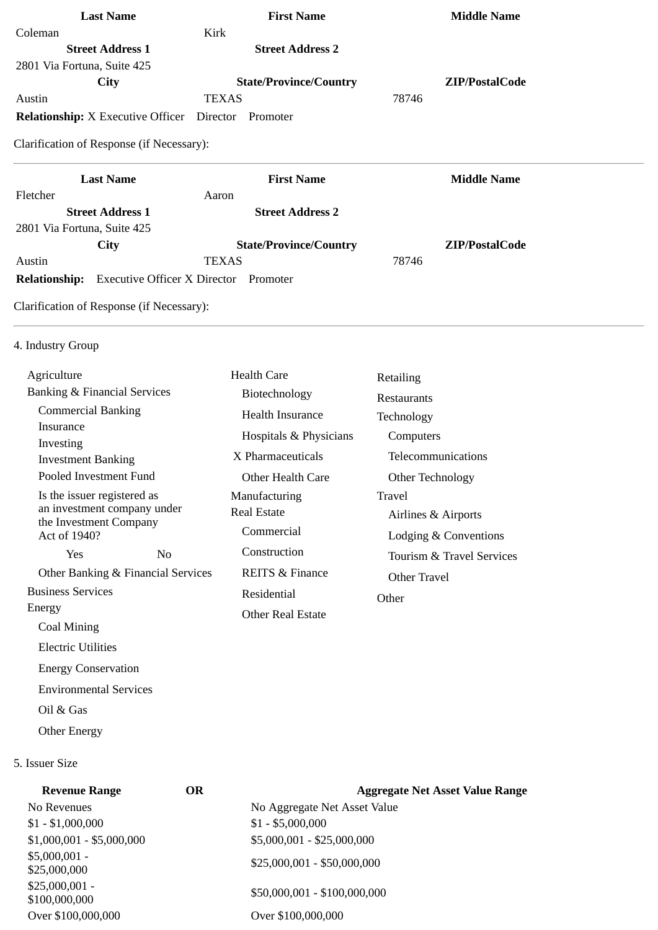| Kirk<br><b>Street Address 2</b> |                                                                                                |
|---------------------------------|------------------------------------------------------------------------------------------------|
|                                 |                                                                                                |
|                                 |                                                                                                |
|                                 |                                                                                                |
| <b>State/Province/Country</b>   | ZIP/PostalCode                                                                                 |
| <b>TEXAS</b>                    | 78746                                                                                          |
| Promoter                        |                                                                                                |
| <b>First Name</b>               | <b>Middle Name</b>                                                                             |
|                                 |                                                                                                |
| Aaron                           |                                                                                                |
| <b>Street Address 2</b>         |                                                                                                |
| <b>State/Province/Country</b>   | ZIP/PostalCode                                                                                 |
| <b>TEXAS</b>                    | 78746                                                                                          |
|                                 | <b>Relationship:</b> X Executive Officer Director<br>Clarification of Response (if Necessary): |

## 4. Industry Group

Electric Utilities

Oil & Gas

5. Issuer Size

Other Energy

 Energy Conservation Environmental Services

| Agriculture                                                                          |                                    | <b>Health Care</b>         | Retailing                 |
|--------------------------------------------------------------------------------------|------------------------------------|----------------------------|---------------------------|
| <b>Banking &amp; Financial Services</b>                                              |                                    | Biotechnology              | Restaurants               |
| <b>Commercial Banking</b>                                                            |                                    | Health Insurance           | Technology                |
| Insurance                                                                            |                                    | Hospitals & Physicians     | Computers                 |
| Investing<br><b>Investment Banking</b>                                               |                                    | X Pharmaceuticals          | Telecommunications        |
| Pooled Investment Fund                                                               |                                    | Other Health Care          | Other Technology          |
| Is the issuer registered as<br>an investment company under<br>the Investment Company |                                    | Manufacturing              | Travel                    |
|                                                                                      |                                    | Real Estate                | Airlines & Airports       |
| Act of 1940?                                                                         |                                    | Commercial                 | Lodging & Conventions     |
| <b>Yes</b>                                                                           | No.                                | Construction               | Tourism & Travel Services |
|                                                                                      | Other Banking & Financial Services | <b>REITS &amp; Finance</b> | Other Travel              |
| <b>Business Services</b>                                                             |                                    | Residential                | Other                     |
| Energy                                                                               |                                    | <b>Other Real Estate</b>   |                           |
| Coal Mining                                                                          |                                    |                            |                           |

| <b>Revenue Range</b>             | <b>OR</b> | <b>Aggregate Net Asset Value Range</b> |
|----------------------------------|-----------|----------------------------------------|
| No Revenues                      |           | No Aggregate Net Asset Value           |
| $$1 - $1,000,000$                |           | $$1 - $5,000,000$                      |
| $$1,000,001 - $5,000,000$        |           | $$5,000,001 - $25,000,000$             |
| $$5,000,001 -$<br>\$25,000,000   |           | $$25,000,001 - $50,000,000$            |
| $$25,000,001 -$<br>\$100,000,000 |           | \$50,000,001 - \$100,000,000           |
| Over \$100,000,000               |           | Over \$100,000,000                     |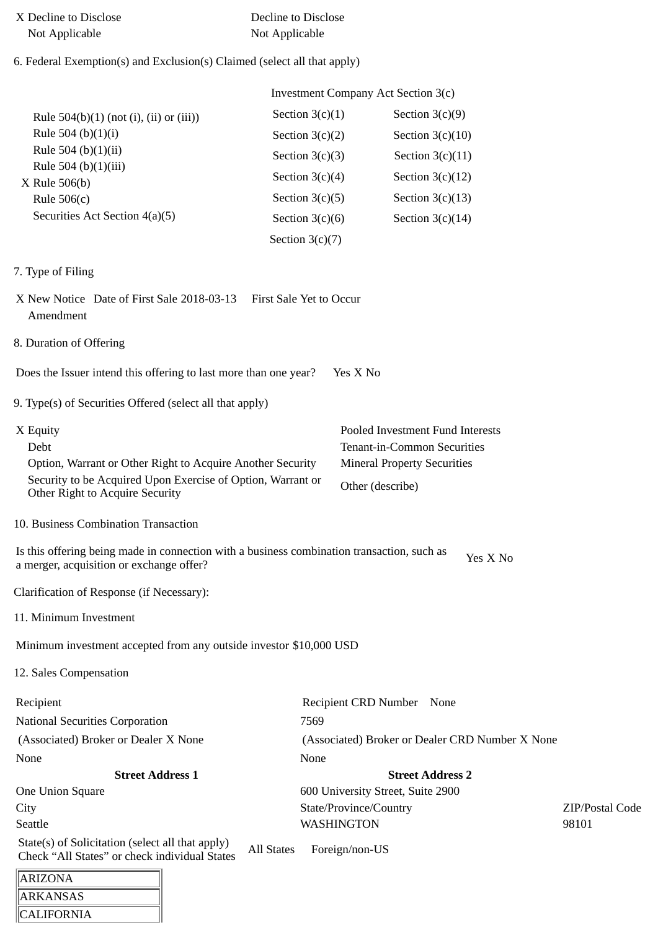| X Decline to Disclose | Decline to Disclose |  |
|-----------------------|---------------------|--|
| Not Applicable        | Not Applicable      |  |

# 6. Federal Exemption(s) and Exclusion(s) Claimed (select all that apply)

ARKANSAS **CALIFORNIA** 

|                                                                                                                                                                                  |                   | <b>Investment Company Act Section 3(c)</b>                                                                                |                 |
|----------------------------------------------------------------------------------------------------------------------------------------------------------------------------------|-------------------|---------------------------------------------------------------------------------------------------------------------------|-----------------|
| Rule $504(b)(1)$ (not (i), (ii) or (iii))                                                                                                                                        | Section $3(c)(1)$ | Section $3(c)(9)$                                                                                                         |                 |
| Rule 504 (b)(1)(i)                                                                                                                                                               | Section $3(c)(2)$ | Section $3(c)(10)$                                                                                                        |                 |
| Rule 504 (b)(1)(ii)                                                                                                                                                              | Section $3(c)(3)$ | Section $3(c)(11)$                                                                                                        |                 |
| Rule 504 (b)(1)(iii)<br>$X$ Rule 506(b)                                                                                                                                          | Section $3(c)(4)$ | Section $3(c)(12)$                                                                                                        |                 |
| Rule $506(c)$                                                                                                                                                                    | Section $3(c)(5)$ | Section $3(c)(13)$                                                                                                        |                 |
| Securities Act Section 4(a)(5)                                                                                                                                                   | Section $3(c)(6)$ | Section $3(c)(14)$                                                                                                        |                 |
|                                                                                                                                                                                  | Section $3(c)(7)$ |                                                                                                                           |                 |
| 7. Type of Filing                                                                                                                                                                |                   |                                                                                                                           |                 |
| X New Notice Date of First Sale 2018-03-13 First Sale Yet to Occur<br>Amendment                                                                                                  |                   |                                                                                                                           |                 |
| 8. Duration of Offering                                                                                                                                                          |                   |                                                                                                                           |                 |
| Does the Issuer intend this offering to last more than one year?                                                                                                                 |                   | Yes X No                                                                                                                  |                 |
| 9. Type(s) of Securities Offered (select all that apply)                                                                                                                         |                   |                                                                                                                           |                 |
| X Equity<br>Debt<br>Option, Warrant or Other Right to Acquire Another Security<br>Security to be Acquired Upon Exercise of Option, Warrant or<br>Other Right to Acquire Security |                   | Pooled Investment Fund Interests<br>Tenant-in-Common Securities<br><b>Mineral Property Securities</b><br>Other (describe) |                 |
| 10. Business Combination Transaction                                                                                                                                             |                   |                                                                                                                           |                 |
|                                                                                                                                                                                  |                   |                                                                                                                           |                 |
| Is this offering being made in connection with a business combination transaction, such as<br>a merger, acquisition or exchange offer?                                           |                   | Yes X No                                                                                                                  |                 |
| Clarification of Response (if Necessary):                                                                                                                                        |                   |                                                                                                                           |                 |
| 11. Minimum Investment                                                                                                                                                           |                   |                                                                                                                           |                 |
| Minimum investment accepted from any outside investor \$10,000 USD                                                                                                               |                   |                                                                                                                           |                 |
| 12. Sales Compensation                                                                                                                                                           |                   |                                                                                                                           |                 |
| Recipient                                                                                                                                                                        |                   | Recipient CRD Number None                                                                                                 |                 |
| <b>National Securities Corporation</b>                                                                                                                                           | 7569              |                                                                                                                           |                 |
| (Associated) Broker or Dealer X None                                                                                                                                             |                   | (Associated) Broker or Dealer CRD Number X None                                                                           |                 |
| None                                                                                                                                                                             | None              |                                                                                                                           |                 |
| <b>Street Address 1</b>                                                                                                                                                          |                   | <b>Street Address 2</b>                                                                                                   |                 |
| One Union Square                                                                                                                                                                 |                   | 600 University Street, Suite 2900                                                                                         |                 |
| City                                                                                                                                                                             |                   | State/Province/Country                                                                                                    | ZIP/Postal Code |
| Seattle                                                                                                                                                                          |                   | <b>WASHINGTON</b>                                                                                                         | 98101           |
| State(s) of Solicitation (select all that apply)<br>Check "All States" or check individual States                                                                                | <b>All States</b> | Foreign/non-US                                                                                                            |                 |
| <b>ARIZONA</b>                                                                                                                                                                   |                   |                                                                                                                           |                 |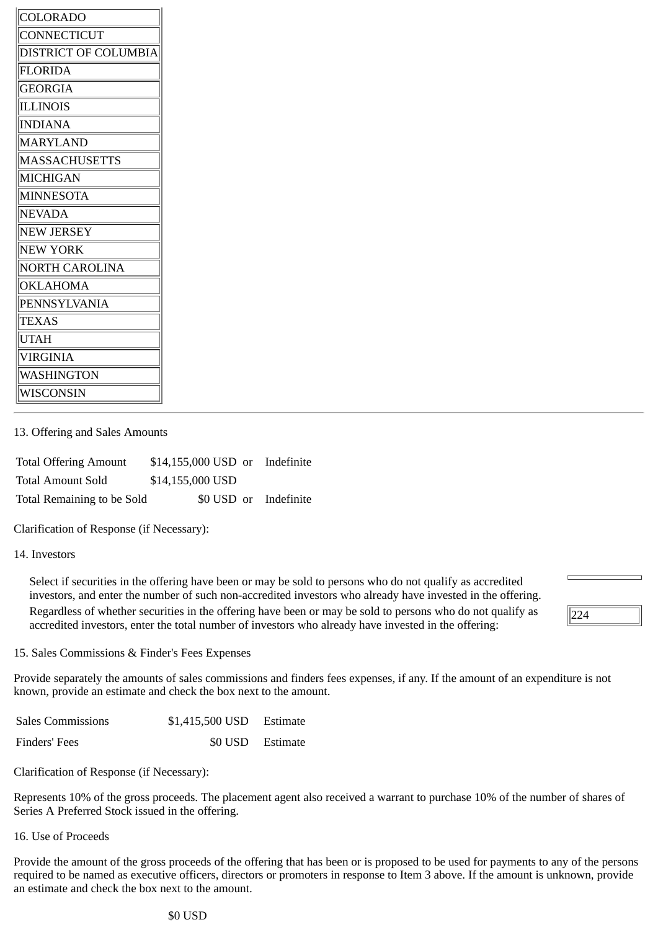| COLORADO              |
|-----------------------|
| CONNECTICUT           |
| DISTRICT OF COLUMBIA  |
| <b>FLORIDA</b>        |
| <b>GEORGIA</b>        |
| <b>ILLINOIS</b>       |
| <b>INDIANA</b>        |
| <b>MARYLAND</b>       |
| <b>MASSACHUSETTS</b>  |
| <b>MICHIGAN</b>       |
| <b>MINNESOTA</b>      |
| <b>NEVADA</b>         |
| <b>NEW JERSEY</b>     |
| <b>NEW YORK</b>       |
| <b>NORTH CAROLINA</b> |
| <b>OKLAHOMA</b>       |
| PENNSYLVANIA          |
| <b>TEXAS</b>          |
| <b>UTAH</b>           |
| VIRGINIA              |
| WASHINGTON            |
| WISCONSIN             |

### 13. Offering and Sales Amounts

| <b>Total Offering Amount</b> | \$14,155,000 USD or Indefinite |  |
|------------------------------|--------------------------------|--|
| <b>Total Amount Sold</b>     | \$14,155,000 USD               |  |
| Total Remaining to be Sold   | \$0 USD or Indefinite          |  |

Clarification of Response (if Necessary):

#### 14. Investors

Select if securities in the offering have been or may be sold to persons who do not qualify as accredited investors, and enter the number of such non-accredited investors who already have invested in the offering. Regardless of whether securities in the offering have been or may be sold to persons who do not qualify as accredited investors, enter the total number of investors who already have invested in the offering:



15. Sales Commissions & Finder's Fees Expenses

Provide separately the amounts of sales commissions and finders fees expenses, if any. If the amount of an expenditure is not known, provide an estimate and check the box next to the amount.

| <b>Sales Commissions</b> | \$1,415,500 USD  | Estimate |
|--------------------------|------------------|----------|
| Finders' Fees            | \$0 USD Estimate |          |

Clarification of Response (if Necessary):

Represents 10% of the gross proceeds. The placement agent also received a warrant to purchase 10% of the number of shares of Series A Preferred Stock issued in the offering.

16. Use of Proceeds

Provide the amount of the gross proceeds of the offering that has been or is proposed to be used for payments to any of the persons required to be named as executive officers, directors or promoters in response to Item 3 above. If the amount is unknown, provide an estimate and check the box next to the amount.